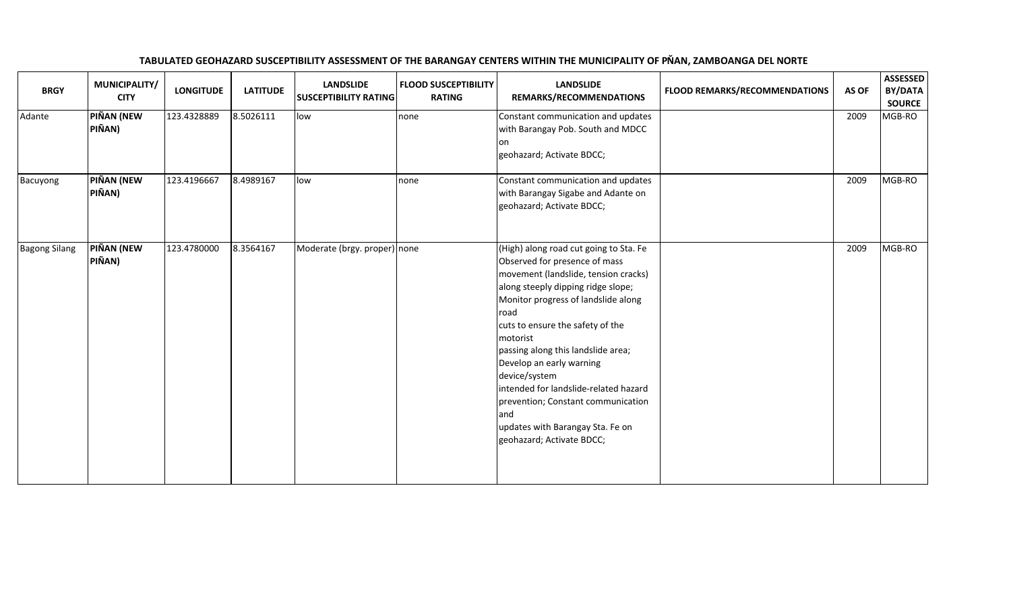| <b>BRGY</b>          | MUNICIPALITY/<br><b>CITY</b> | <b>LONGITUDE</b> | <b>LATITUDE</b> | <b>LANDSLIDE</b><br><b>SUSCEPTIBILITY RATING</b> | <b>FLOOD SUSCEPTIBILITY</b><br><b>RATING</b> | <b>LANDSLIDE</b><br>REMARKS/RECOMMENDATIONS                                                                                                                                                                                                                                                                                                                                                                                                                                                     | <b>FLOOD REMARKS/RECOMMENDATIONS</b> | AS OF | <b>ASSESSED</b><br>BY/DATA<br><b>SOURCE</b> |
|----------------------|------------------------------|------------------|-----------------|--------------------------------------------------|----------------------------------------------|-------------------------------------------------------------------------------------------------------------------------------------------------------------------------------------------------------------------------------------------------------------------------------------------------------------------------------------------------------------------------------------------------------------------------------------------------------------------------------------------------|--------------------------------------|-------|---------------------------------------------|
| Adante               | PIÑAN (NEW<br>PIÑAN)         | 123.4328889      | 8.5026111       | low                                              | none                                         | Constant communication and updates<br>with Barangay Pob. South and MDCC<br>l on<br>geohazard; Activate BDCC;                                                                                                                                                                                                                                                                                                                                                                                    |                                      | 2009  | MGB-RO                                      |
| Bacuyong             | PIÑAN (NEW<br>PIÑAN)         | 123.4196667      | 8.4989167       | low                                              | none                                         | Constant communication and updates<br>with Barangay Sigabe and Adante on<br>geohazard; Activate BDCC;                                                                                                                                                                                                                                                                                                                                                                                           |                                      | 2009  | MGB-RO                                      |
| <b>Bagong Silang</b> | <b>PIÑAN (NEW</b><br>PIÑAN)  | 123.4780000      | 8.3564167       | Moderate (brgy. proper) none                     |                                              | (High) along road cut going to Sta. Fe<br>Observed for presence of mass<br>movement (landslide, tension cracks)<br>along steeply dipping ridge slope;<br>Monitor progress of landslide along<br>road<br>cuts to ensure the safety of the<br>motorist<br>passing along this landslide area;<br>Develop an early warning<br>device/system<br>intended for landslide-related hazard<br>prevention; Constant communication<br>land<br>updates with Barangay Sta. Fe on<br>geohazard; Activate BDCC; |                                      | 2009  | MGB-RO                                      |

## TABULATED GEOHAZARD SUSCEPTIBILITY ASSESSMENT OF THE BARANGAY CENTERS WITHIN THE MUNICIPALITY OF PIŇAN, ZAMBOANGA DEL NORTE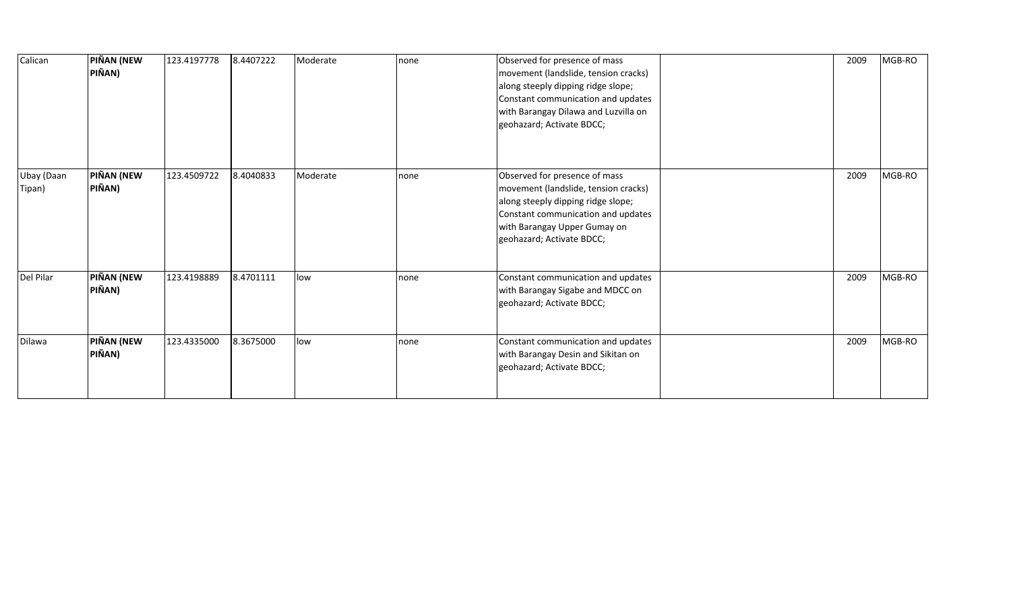| Calican              | <b>PIÑAN (NEW</b><br>PIÑAN) | 123.4197778 | 8.4407222 | Moderate | none | Observed for presence of mass<br>movement (landslide, tension cracks)<br>along steeply dipping ridge slope;<br>Constant communication and updates<br>with Barangay Dilawa and Luzvilla on<br>geohazard; Activate BDCC; | 2009 | MGB-RO |
|----------------------|-----------------------------|-------------|-----------|----------|------|------------------------------------------------------------------------------------------------------------------------------------------------------------------------------------------------------------------------|------|--------|
| Ubay (Daan<br>Tipan) | <b>PIÑAN (NEW</b><br>PIÑAN) | 123.4509722 | 8.4040833 | Moderate | none | Observed for presence of mass<br>movement (landslide, tension cracks)<br>along steeply dipping ridge slope;<br>Constant communication and updates<br>with Barangay Upper Gumay on<br>geohazard; Activate BDCC;         | 2009 | MGB-RO |
| Del Pilar            | <b>PIÑAN (NEW</b><br>PIÑAN) | 123.4198889 | 8.4701111 | low      | none | Constant communication and updates<br>with Barangay Sigabe and MDCC on<br>geohazard; Activate BDCC;                                                                                                                    | 2009 | MGB-RO |
| Dilawa               | PIÑAN (NEW<br>PIÑAN)        | 123.4335000 | 8.3675000 | low      | none | Constant communication and updates<br>with Barangay Desin and Sikitan on<br>geohazard; Activate BDCC;                                                                                                                  | 2009 | MGB-RO |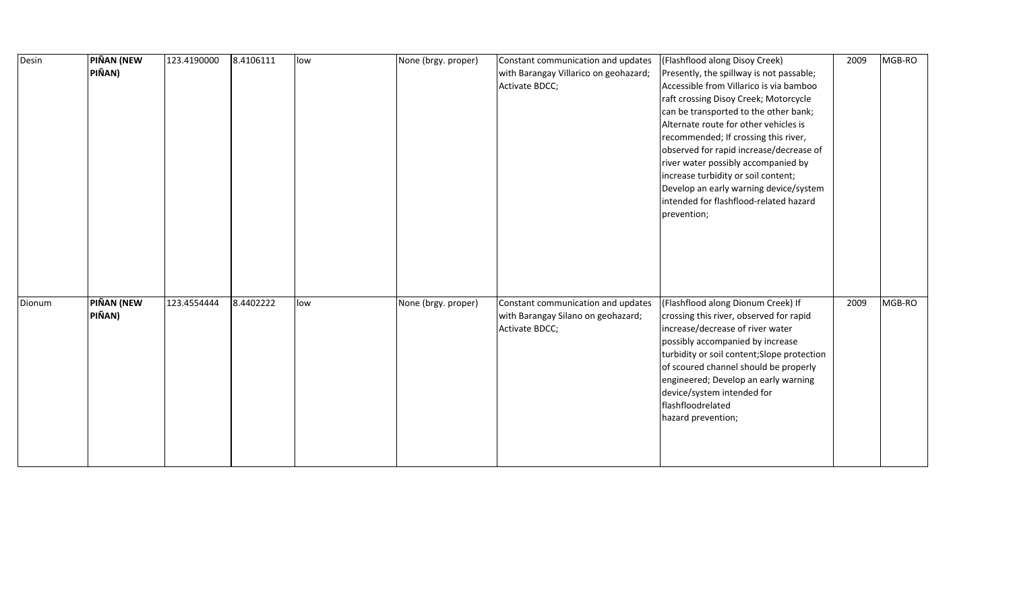| Desin  | <b>PIÑAN (NEW</b> | 123.4190000 | 8.4106111 | low | None (brgy. proper) | Constant communication and updates    | (Flashflood along Disoy Creek)              | 2009 | MGB-RO |
|--------|-------------------|-------------|-----------|-----|---------------------|---------------------------------------|---------------------------------------------|------|--------|
|        | PIÑAN)            |             |           |     |                     | with Barangay Villarico on geohazard; | Presently, the spillway is not passable;    |      |        |
|        |                   |             |           |     |                     | Activate BDCC;                        | Accessible from Villarico is via bamboo     |      |        |
|        |                   |             |           |     |                     |                                       | raft crossing Disoy Creek; Motorcycle       |      |        |
|        |                   |             |           |     |                     |                                       | can be transported to the other bank;       |      |        |
|        |                   |             |           |     |                     |                                       | Alternate route for other vehicles is       |      |        |
|        |                   |             |           |     |                     |                                       | recommended; If crossing this river,        |      |        |
|        |                   |             |           |     |                     |                                       | observed for rapid increase/decrease of     |      |        |
|        |                   |             |           |     |                     |                                       | river water possibly accompanied by         |      |        |
|        |                   |             |           |     |                     |                                       | increase turbidity or soil content;         |      |        |
|        |                   |             |           |     |                     |                                       | Develop an early warning device/system      |      |        |
|        |                   |             |           |     |                     |                                       | intended for flashflood-related hazard      |      |        |
|        |                   |             |           |     |                     |                                       | prevention;                                 |      |        |
|        |                   |             |           |     |                     |                                       |                                             |      |        |
|        |                   |             |           |     |                     |                                       |                                             |      |        |
|        |                   |             |           |     |                     |                                       |                                             |      |        |
|        |                   |             |           |     |                     |                                       |                                             |      |        |
|        |                   |             |           |     |                     |                                       |                                             |      |        |
| Dionum | <b>PIÑAN (NEW</b> | 123.4554444 | 8.4402222 | low | None (brgy. proper) | Constant communication and updates    | (Flashflood along Dionum Creek) If          | 2009 | MGB-RO |
|        | PIÑAN)            |             |           |     |                     | with Barangay Silano on geohazard;    | crossing this river, observed for rapid     |      |        |
|        |                   |             |           |     |                     | Activate BDCC;                        | increase/decrease of river water            |      |        |
|        |                   |             |           |     |                     |                                       | possibly accompanied by increase            |      |        |
|        |                   |             |           |     |                     |                                       | turbidity or soil content; Slope protection |      |        |
|        |                   |             |           |     |                     |                                       | of scoured channel should be properly       |      |        |
|        |                   |             |           |     |                     |                                       | engineered; Develop an early warning        |      |        |
|        |                   |             |           |     |                     |                                       | device/system intended for                  |      |        |
|        |                   |             |           |     |                     |                                       | flashfloodrelated                           |      |        |
|        |                   |             |           |     |                     |                                       | hazard prevention;                          |      |        |
|        |                   |             |           |     |                     |                                       |                                             |      |        |
|        |                   |             |           |     |                     |                                       |                                             |      |        |
|        |                   |             |           |     |                     |                                       |                                             |      |        |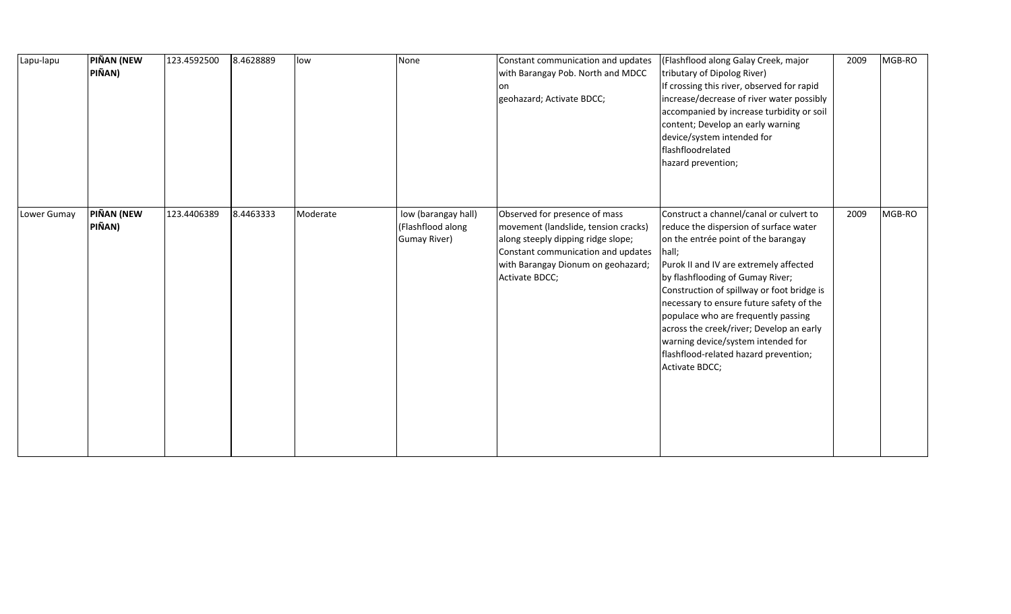| Lapu-lapu   | PIÑAN (NEW<br>PIÑAN) | 123.4592500 | 8.4628889 | low      | None                                                            | Constant communication and updates<br>with Barangay Pob. North and MDCC<br>lon.<br>geohazard; Activate BDCC;                                                                                              | (Flashflood along Galay Creek, major<br>tributary of Dipolog River)<br>If crossing this river, observed for rapid<br>increase/decrease of river water possibly<br>accompanied by increase turbidity or soil<br>content; Develop an early warning<br>device/system intended for<br>flashfloodrelated<br>hazard prevention;                                                                                                                                                                     | 2009 | MGB-RO |
|-------------|----------------------|-------------|-----------|----------|-----------------------------------------------------------------|-----------------------------------------------------------------------------------------------------------------------------------------------------------------------------------------------------------|-----------------------------------------------------------------------------------------------------------------------------------------------------------------------------------------------------------------------------------------------------------------------------------------------------------------------------------------------------------------------------------------------------------------------------------------------------------------------------------------------|------|--------|
| Lower Gumay | PIÑAN (NEW<br>PIÑAN) | 123.4406389 | 8.4463333 | Moderate | low (barangay hall)<br>(Flashflood along<br><b>Gumay River)</b> | Observed for presence of mass<br>movement (landslide, tension cracks)<br>along steeply dipping ridge slope;<br>Constant communication and updates<br>with Barangay Dionum on geohazard;<br>Activate BDCC; | Construct a channel/canal or culvert to<br>reduce the dispersion of surface water<br>on the entrée point of the barangay<br>hall;<br>Purok II and IV are extremely affected<br>by flashflooding of Gumay River;<br>Construction of spillway or foot bridge is<br>necessary to ensure future safety of the<br>populace who are frequently passing<br>across the creek/river; Develop an early<br>warning device/system intended for<br>flashflood-related hazard prevention;<br>Activate BDCC; | 2009 | MGB-RO |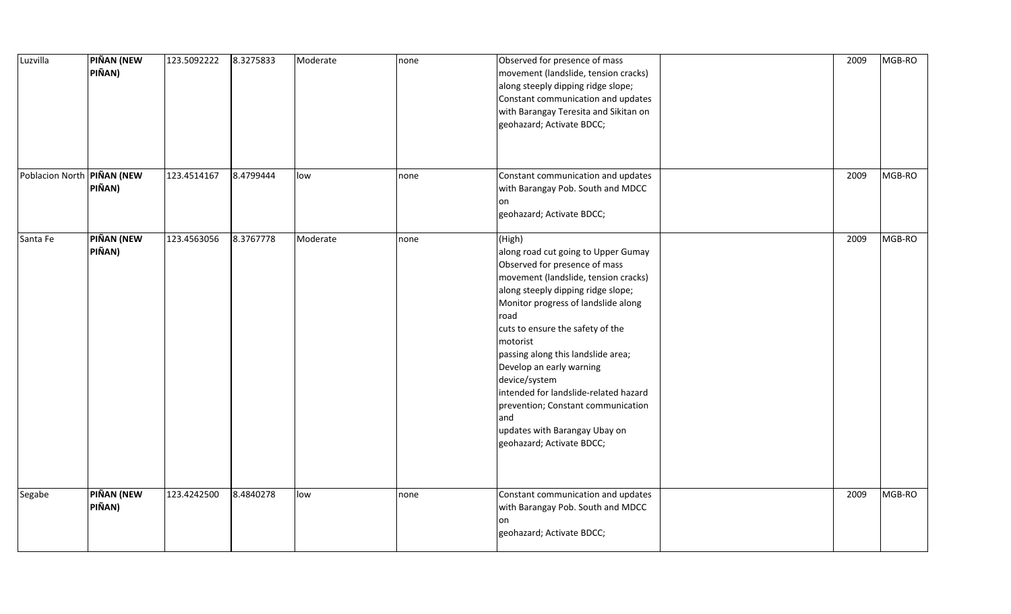| Luzvilla                   | PIÑAN (NEW<br>PIÑAN)        | 123.5092222 | 8.3275833 | Moderate | none | Observed for presence of mass<br>movement (landslide, tension cracks)<br>along steeply dipping ridge slope;<br>Constant communication and updates<br>with Barangay Teresita and Sikitan on<br>geohazard; Activate BDCC;                                                                                                                                                                                                                                                                            | 2009 | MGB-RO |
|----------------------------|-----------------------------|-------------|-----------|----------|------|----------------------------------------------------------------------------------------------------------------------------------------------------------------------------------------------------------------------------------------------------------------------------------------------------------------------------------------------------------------------------------------------------------------------------------------------------------------------------------------------------|------|--------|
| Poblacion North PIÑAN (NEW | PIÑAN)                      | 123.4514167 | 8.4799444 | low      | none | Constant communication and updates<br>with Barangay Pob. South and MDCC<br>on<br>geohazard; Activate BDCC;                                                                                                                                                                                                                                                                                                                                                                                         | 2009 | MGB-RO |
| Santa Fe                   | <b>PIÑAN (NEW</b><br>PIÑAN) | 123.4563056 | 8.3767778 | Moderate | none | (High)<br>along road cut going to Upper Gumay<br>Observed for presence of mass<br>movement (landslide, tension cracks)<br>along steeply dipping ridge slope;<br>Monitor progress of landslide along<br>road<br>cuts to ensure the safety of the<br>motorist<br>passing along this landslide area;<br>Develop an early warning<br>device/system<br>intended for landslide-related hazard<br>prevention; Constant communication<br>and<br>updates with Barangay Ubay on<br>geohazard; Activate BDCC; | 2009 | MGB-RO |
| Segabe                     | PIÑAN (NEW<br>PIÑAN)        | 123.4242500 | 8.4840278 | low      | none | Constant communication and updates<br>with Barangay Pob. South and MDCC<br>on<br>geohazard; Activate BDCC;                                                                                                                                                                                                                                                                                                                                                                                         | 2009 | MGB-RO |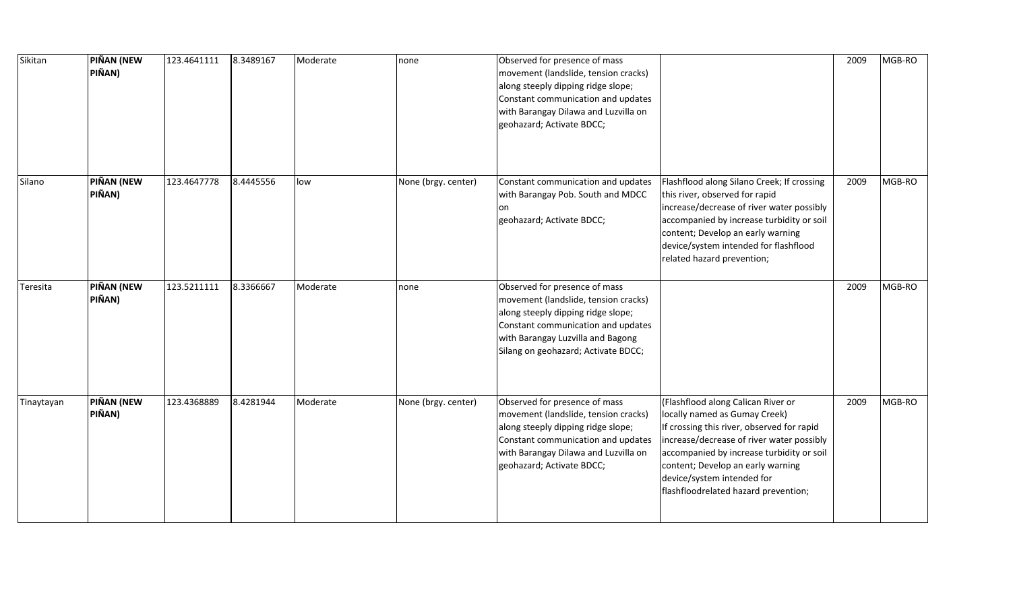| Sikitan    | <b>PIÑAN (NEW</b><br>PIÑAN) | 123.4641111 | 8.3489167 | Moderate | none                | Observed for presence of mass<br>movement (landslide, tension cracks)<br>along steeply dipping ridge slope;<br>Constant communication and updates<br>with Barangay Dilawa and Luzvilla on<br>geohazard; Activate BDCC;        |                                                                                                                                                                                                                                                                                                                        | 2009 | MGB-RO |
|------------|-----------------------------|-------------|-----------|----------|---------------------|-------------------------------------------------------------------------------------------------------------------------------------------------------------------------------------------------------------------------------|------------------------------------------------------------------------------------------------------------------------------------------------------------------------------------------------------------------------------------------------------------------------------------------------------------------------|------|--------|
| Silano     | <b>PIÑAN (NEW</b><br>PIÑAN) | 123.4647778 | 8.4445556 | low      | None (brgy. center) | Constant communication and updates<br>with Barangay Pob. South and MDCC<br>lon<br>geohazard; Activate BDCC;                                                                                                                   | Flashflood along Silano Creek; If crossing<br>this river, observed for rapid<br>increase/decrease of river water possibly<br>accompanied by increase turbidity or soil<br>content; Develop an early warning<br>device/system intended for flashflood<br>related hazard prevention;                                     | 2009 | MGB-RO |
| Teresita   | <b>PIÑAN (NEW</b><br>PIÑAN) | 123.5211111 | 8.3366667 | Moderate | none                | Observed for presence of mass<br>movement (landslide, tension cracks)<br>along steeply dipping ridge slope;<br>Constant communication and updates<br>with Barangay Luzvilla and Bagong<br>Silang on geohazard; Activate BDCC; |                                                                                                                                                                                                                                                                                                                        | 2009 | MGB-RO |
| Tinaytayan | PIÑAN (NEW<br>PIÑAN)        | 123.4368889 | 8.4281944 | Moderate | None (brgy. center) | Observed for presence of mass<br>movement (landslide, tension cracks)<br>along steeply dipping ridge slope;<br>Constant communication and updates<br>with Barangay Dilawa and Luzvilla on<br>geohazard; Activate BDCC;        | (Flashflood along Calican River or<br>locally named as Gumay Creek)<br>If crossing this river, observed for rapid<br>increase/decrease of river water possibly<br>accompanied by increase turbidity or soil<br>content; Develop an early warning<br>device/system intended for<br>flashfloodrelated hazard prevention; | 2009 | MGB-RO |